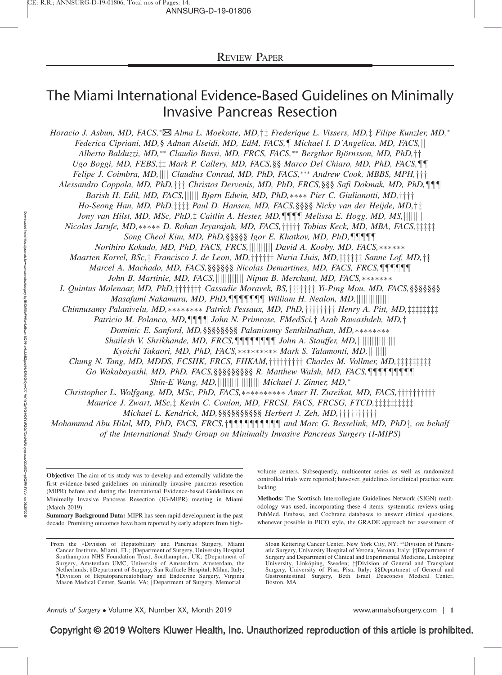# The Miami International Evidence-Based Guidelines on Minimally Invasive Pancreas Resection

Horacio J. Asbun, MD, FACS, <sup>\*</sup> $\boxtimes$  Alma L. Moekotte, MD, † ‡ Frederique L. Vissers, MD, ‡ Filipe Kunzler, MD, \* Federica Cipriani, MD,§ Adnan Alseidi, MD, EdM, FACS,¶ Michael I. D'Angelica, MD, FACS,|| Alberto Balduzzi, MD,\*\* Claudio Bassi, MD, FRCS, FACS,\*\* Bergthor Björnsson, MD, PhD,†† Ugo Boggi, MD, FEBS, ‡‡ Mark P. Callery, MD, FACS, §§ Marco Del Chiaro, MD, PhD, FACS, ¶¶ Felipe J. Coimbra, MD,|||| Claudius Conrad, MD, PhD, FACS,\*\*\* Andrew Cook, MBBS, MPH,††† Alessandro Coppola, MD, PhD,‡‡‡ Christos Dervenis, MD, PhD, FRCS,§§§ Safi Dokmak, MD, PhD,¶¶¶ Barish H. Edil, MD, FACS,|||||| Bjørn Edwin, MD, PhD,\*\*\*\* Pier C. Giulianotti, MD,†††† Ho-Seong Han, MD, PhD,  $\ddagger \ddagger \ddagger \ddagger$  Paul D. Hansen, MD, FACS, §§§§ Nicky van der Heijde, MD,  $\dagger \ddagger$ Jony van Hilst, MD, MSc, PhD, $\ddagger$  Caitlin A. Hester, MD,¶¶¶ Melissa E. Hogg, MD, MS,|||||||| Nicolas Jarufe, MD,\*\*\*\*\* D. Rohan Jeyarajah, MD, FACS,††††† Tobias Keck, MD, MBA, FACS,‡‡‡‡‡ Song Cheol Kim, MD, PhD, §§§§§ Igor E. Khatkov, MD, PhD,¶¶¶¶ Norihiro Kokudo, MD, PhD, FACS, FRCS,||||||||||| David A. Kooby, MD, FACS,\*\*\*\*\*\* Maarten Korrel, BSc,  $\ddagger$  Francisco J. de Leon, MD,  $\dagger \dagger \dagger \dagger \dagger$  Nuria Lluis, MD,  $\ddagger \ddagger \ddagger \ddagger$  Sanne Lof, MD,  $\dagger \ddagger$ Marcel A. Machado, MD, FACS, §§§§§§ Nicolas Demartines, MD, FACS, FRCS,¶¶¶¶¶ John B. Martinie, MD, FACS,||||||||||||||||||||||| Nipun B. Merchant, MD, FACS,\*\*\*\*\*\*\* I. Quintus Molenaar, MD, PhD, ††††††† Cassadie Moravek, BS, ‡‡‡‡‡‡ Yi-Ping Mou, MD, FACS, §§§§§§§§ Masafumi Nakamura, MD, PhD,------- William H. Nealon, MD,jjjjjjjjjjjjjj Chinnusamy Palanivelu, MD, \*\*\*\*\*\*\* Patrick Pessaux, MD, PhD, ||||||||||||| Henry A. Pitt, MD, |||||||||||| Patricio M. Polanco, MD,¶¶¶ John N. Primrose, FMedSci,† Arab Rawashdeh, MD,† Dominic E. Sanford, MD, §§§§§§§§ Palanisamy Senthilnathan, MD,\*\*\*\*\*\*\*\* Shailesh V. Shrikhande, MD, FRCS,¶¶¶¶¶¶¶ John A. Stauffer, MD,|||||||||||||||||| Kyoichi Takaori, MD, PhD, FACS,\*\*\*\*\*\*\*\*\* Mark S. Talamonti, MD,|||||||| Chung N. Tang, MD, MDDS, FCSHK, FRCS, FHKAM,  $\ddagger\ddagger\ddagger\ddagger\ddagger\ddagger\pi$  Charles M. Vollmer, MD,  $\ddagger\ddagger\ddagger\ddagger\ddagger\ddagger\ddagger\pi\ddagger$ Go Wakabayashi, MD, PhD, FACS, §§§§§§§§§§ R. Matthew Walsh, MD, FACS,¶¶¶¶¶¶¶ Shin-E Wang, MD,|||||||||||||||||||||||||||| Michael J. Zinner, MD,\* Christopher L. Wolfgang, MD, MSc, PhD, FACS,\*\*\*\*\*\*\*\*\* Amer H. Zureikat, MD, FACS,††††††††† Maurice J. Zwart, MSc,  $\ddagger$  Kevin C. Conlon, MD, FRCSI, FACS, FRCSG, FTCD,  $\ddagger$ Michael L. Kendrick, MD,  $\S$ §§§§§§§§§§§§ Herbert J. Zeh, MD, ††††††††††

Mohammad Abu Hilal, MD, PhD, FACS, FRCS, †¶¶¶¶¶¶¶¶¶¶ and Marc G. Besselink, MD, PhD‡, on behalf of the International Study Group on Minimally Invasive Pancreas Surgery (I-MIPS)

Objective: The aim of tis study was to develop and externally validate the first evidence-based guidelines on minimally invasive pancreas resection (MIPR) before and during the International Evidence-based Guidelines on Minimally Invasive Pancreas Resection (IG-MIPR) meeting in Miami (March 2019).

Summary Background Data: MIPR has seen rapid development in the past decade. Promising outcomes have been reported by early adopters from high-

From the \*Division of Hepatobiliary and Pancreas Surgery, Miami Cancer Institute, Miami, FL; †Department of Surgery, University Hospital Southampton NHS Foundation Trust, Southampton, UK; ‡Department of Surgery, Amsterdam UMC, University of Amsterdam, Amsterdam, the Netherlands; §Department of Surgery, San Raffaele Hospital, Milan, Italy; -Division of Hepatopancreatobiliary and Endocrine Surgery, Virginia Mason Medical Center, Seattle, VA; |Department of Surgery, Memorial

volume centers. Subsequently, multicenter series as well as randomized controlled trials were reported; however, guidelines for clinical practice were lacking.

Methods: The Scottisch Intercollegiate Guidelines Network (SIGN) methodology was used, incorporating these 4 items: systematic reviews using PubMed, Embase, and Cochrane databases to answer clinical questions, whenever possible in PICO style, the GRADE approach for assessment of

Sloan Kettering Cancer Center, New York City, NY; \*\* Division of Pancreatic Surgery, University Hospital of Verona, Verona, Italy;  $\dagger\dagger$ Department of Surgery and Department of Clinical and Experimental Medicine, Linköping University, Linköping, Sweden; #Division of General and Transplant Surgery, University of Pisa, Pisa, Italy; §§Department of General and Gastrointestinal Surgery, Beth Israel Deaconess Medical Center, Boston, MA

Annals of Surgery • Volume XX, Number XX, Month 2019 Www.annalsofsurgery.com | 1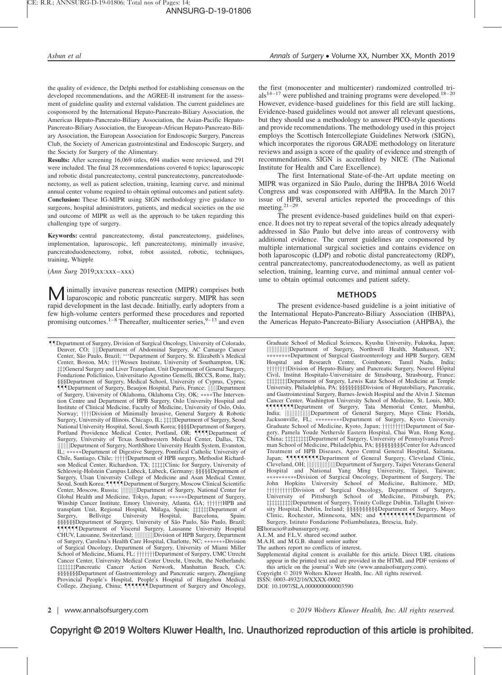the quality of evidence, the Delphi method for establishing consensus on the developed recommendations, and the AGREE-II instrument for the assessment of guideline quality and external validation. The current guidelines are cosponsored by the International Hepato-Pancreato-Biliary Association, the Americas Hepato-Pancreato-Biliary Association, the Asian-Pacific Hepato-Pancreato-Biliary Association, the European-African Hepato-Pancreato-Biliary Association, the European Association for Endoscopic Surgery, Pancreas Club, the Society of American gastrointestinal and Endoscopic Surgery, and the Society for Surgery of the Alimentary.

Results: After screening 16,069 titles, 694 studies were reviewed, and 291 were included. The final 28 recommendations covered 6 topics; laparoscopic and robotic distal pancreatectomy, central pancreatectomy, pancreatoduodenectomy, as well as patient selection, training, learning curve, and minimal annual center volume required to obtain optimal outcomes and patient safety. Conclusion: These IG-MIPR using SIGN methodology give guidance to surgeons, hospital administrators, patients, and medical societies on the use and outcome of MIPR as well as the approach to be taken regarding this challenging type of surgery.

Keywords: central pancreatectomy, distal pancreatectomy, guidelines, implementation, laparoscopic, left pancreatectomy, minimally invasive, pancreatoduodenectomy, robot, robot assisted, robotic, techniques, training, Whipple

(Ann Surg 2019;xx:xxx–xxx)

M inimally invasive pancreas resection (MIPR) comprises both laparoscopic and robotic pancreatic surgery. MIPR has seen rapid development in the last decade. Initially, early adopters from a few high-volume centers performed these procedures and reported promising outcomes.<sup>1–8</sup> Thereafter, multicenter series,<sup>9–13</sup> and even

--Department of Surgery, Division of Surgical Oncology, University of Colorado, Denver, CO; ||||Department of Abdominal Surgery, AC Camargo Cancer<br>Center, São Paulo, Brazil; \*\*\*Department of Surgery, St. Elizabeth's Medical Center, Boston, MA;  $\uparrow\uparrow\uparrow$ Wessex Institute, University of Southampton, UK; ######General Surgery and Liver Transplant, Unit Department of General Surgery, Fondazione Policlinico, Universitario Agostino Gemelli, IRCCS, Rome, Italy; §§§Department of Surgery, Medical School, University of Cyprus, Cyprus; ---Department of Surgery, Beaujon Hospital, Paris, France; jjjjjjDepartment of Surgery, University of Oklahoma, Oklahoma City, OK; \*\*\*\* The Intervention Centre and Department of HPB Surgery, Oslo University Hospital and Institute of Clinical Medicine, Faculty of Medicine, University of Oslo, Oslo, Norway; ††††Division of Minimally Invasive, General Surgery & Robotic Surgery, University of Illinois, Chicago, IL;  $\ddagger\ddagger\ddagger\ddagger$ Department of Surgery, Seoul National University Hospital, Seoul, South Korea; §§§§Department of Surgery, Portland Providence Medical Center, Portland, OR; **[1]** Pepartment of Surgery, University of Texas Southwestern Medical Center, Dallas, TX; jjjjjjjjDepartment of Surgery, NorthShore University Health System, Evanston, IL; \*\*\*\*\*Department of Digestive Surgery, Pontifical Catholic University of Chile, Santiago, Chile;  $\dagger \dagger \dagger \dagger$ Department of HPB surgery, Methodist Richardson Medical Center, Richardson, TX; #######Clinic for Surgery, University of Schleswig-Holstein Campus Lübeck, Lübeck, Germany; §§§§§Department of Surgery, Ulsan University College of Medicine and Asan Medical Center,<br>Seoul, South Korea; ¶¶¶¶Department of Surgery, Moscow Clinical Scientific Center, Moscow, Russia; ||||||||||Department of Surgery, National Center for Global Health and Medicine, Tokyo, Japan; \*\*\*\*\*\*Department of Surgery, Winship Cancer Institute, Emory University, Atlanta, GA;  $\uparrow\uparrow\uparrow\uparrow\uparrow$ HPB and transplant Unit, Regional Hospital, Málaga, Spain; *i i i i i i i s spain; Spain; b spain; b spain; b arcelona, Spain;* Surgery, Bellvitge University §§§§§§Department of Surgery, University of São Paulo, São Paulo, Brazil; **111111Department of Visceral Surgery, Lausanne University Hospital** CHUV, Lausanne, Switzerland; |||||||||||||||Division of HPB Surgery, Department of Surgery, Carolina's Health Care Hospital, Charlotte, NC; \*\*\*\*\*\*\*>Division of Surgical Oncology, Department of Surgery, University of Miami Miller School of Medicine, Miami, FL;  $\uparrow\uparrow\uparrow\uparrow\uparrow\uparrow$  Department of Surgery, UMC Utrecht Cancer Center, University Medical Center Utrecht, Utrecht, the Netherlands; zzzzzzzPancreatic Cancer Action Network, Manhattan Beach, CA; §§§§§§§Department of Gastroenterology and Pancreatic surgery, Zhengjiang Provincial People's Hospital, People's Hospital of Hangzhou Medical<br>College, Zhejiang, China; **||||||||||||**||Department of Surgery and Oncology,

the first (monocenter and multicenter) randomized controlled tri $als^{14-17}$  were published and training programs were developed.<sup>18–20</sup> However, evidence-based guidelines for this field are still lacking. Evidence-based guidelines would not answer all relevant questions, but they should use a methodology to answer PICO-style questions and provide recommendations. The methodology used in this project employs the Scottisch Intercollegiate Guidelines Network (SIGN), which incorporates the rigorous GRADE methodology on literature reviews and assign a score of the quality of evidence and strength of recommendations. SIGN is accredited by NICE (The National Institute for Health and Care Excellence).

The first International State-of-the-Art update meeting on MIPR was organized in São Paulo, during the IHPBA 2016 World Congress and was cosponsored with AHPBA. In the March 2017 issue of HPB, several articles reported the proceedings of this meeting.21–29

The present evidence-based guidelines build on that experience. It does not try to repeat several of the topics already adequately addressed in São Paulo but delve into areas of controversy with additional evidence. The current guidelines are cosponsored by multiple international surgical societies and contains evidence on both laparoscopic (LDP) and robotic distal pancreatectomy (RDP), central pancreatectomy, pancreatoduodenectomy, as well as patient selection, training, learning curve, and minimal annual center volume to obtain optimal outcomes and patient safety.

#### METHODS

The present evidence-based guideline is a joint initiative of the International Hepato-Pancreato-Biliary Association (IHBPA), the Americas Hepato-Pancreato-Biliary Association (AHPBA), the

Graduate School of Medical Sciences, Kyushu University, Fukuoka, Japan; jjjjjjjjjjjjjjDepartment of Surgery, Northwell Health, Manhasset, NY; --------Department of Surgical Gastroenterology and HPB Surgery, GEM Hospital and Research Centre, Coimbatore, Tamil Nadu, India; ††††††††Division of Hepato-Biliary and Pancreatic Surgery, Nouvel Hôpital Civil, Institut Hospitalo-Universitaire de Strasbourg, Strasbourg, France; #########Department of Surgery, Lewis Katz School of Medicine at Temple University, Philadelphia, PA; §§§§§§§§Division of Hepatobiliary, Pancreatic, and Gastrointestinal Surgery, Barnes-Jewish Hospital and the Alvin J. Siteman Cancer Center, Washington University School of Medicine, St. Louis, MO; **TITITITI** Department of Surgery, Tata Memorial Center, Mumbai, India; |||||||||||||||||||||Department of General Surgery, Mayo Clinic Florida, Jacksonville, FL; \*\*\*\*\*\*\*\*\*>>Department of Surgery, Kyoto University Graduate School of Medicine, Kyoto, Japan; ††††††††pepartment of Surgery, Pamela Youde Nethersle Eastern Hospital, Chai Wan, Hong Kong, China; ##########Department of Surgery, University of Pennsylvania Perelman School of Medicine, Philadelphia, PA; §§§§§§§§§Center for Advanced Treatment of HPB Diseases, Ageo Central General Hospital, Saitama, Japan; **MININININI Department of General Surgery, Cleveland Clinic,** Cleveland, OH; jjjjjjjjjjjjjjjjjjDepartment of Surgery, Taipei Veterans General Hospital and National Yang Ming University, Taipei, Taiwan; ----------Division of Surgical Oncology, Department of Surgery, The John Hopkins University School of Medicine, Baltimore, MD; ††††††††††Division of Surgical Oncology, Department of Surgery,<br>University of Pittsburgh School of Medicine, Pittsburgh, PA;  $\ddagger$   $\ddagger$   $\ddagger$   $\ddagger$   $\ddagger$   $\ddagger$   $\Delta$   $\epsilon$  partment of Surgery, Trinity College Dublin, Tallaght University Hospital, Dublin, Ireland; §§§§§§§§§§§§§Department of Surgery, Mayo<br>Clinic, Rochester, Minnesota, MN; and ¶¶¶¶¶¶¶∏¶Department of Surgery, Istituto Fondazione Poliambulanza, Brescia, Italy.

Y [horacio@asbunsurgery.org.](mailto:horacio@asbunsurgery.org)

A.L.M. and F.L.V. shared second author.

M.A.H. and M.G.B. shared senior author

The authors report no conflicts of interest.

Supplemental digital content is available for this article. Direct URL citations appear in the printed text and are provided in the HTML and PDF versions of this article on the journal's Web site [\(www.annalsofsurgery.com\)](http://www.annalsofsurgery.com/).

Copyright 2019 Wolters Kluwer Health, Inc. All rights reserved. ISSN: 0003-4932/16/XXXX-0002

DOI: 10.1097/SLA.0000000000003590

2 | www.annalsofsurgery.com 2019 Wolters Kluwer Health, Inc. All rights reserved.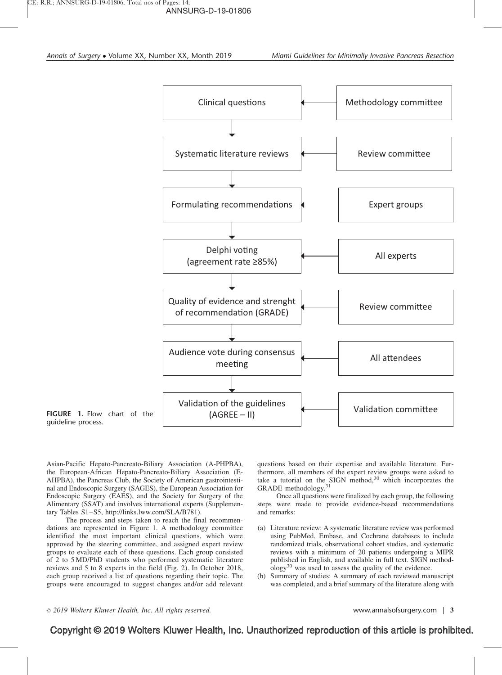

FIGURE 1. Flow chart of the guideline process.

Asian-Pacific Hepato-Pancreato-Biliary Association (A-PHPBA), the European-African Hepato-Pancreato-Biliary Association (E-AHPBA), the Pancreas Club, the Society of American gastrointestinal and Endoscopic Surgery (SAGES), the European Association for Endoscopic Surgery (EAES), and the Society for Surgery of the Alimentary (SSAT) and involves international experts (Supplementary Tables S1–S5, [http://links.lww.com/SLA/B781\)](http://links.lww.com/SLA/B781).

The process and steps taken to reach the final recommendations are represented in Figure 1. A methodology committee identified the most important clinical questions, which were approved by the steering committee, and assigned expert review groups to evaluate each of these questions. Each group consisted of 2 to 5 MD/PhD students who performed systematic literature reviews and 5 to 8 experts in the field (Fig. 2). In October 2018, each group received a list of questions regarding their topic. The groups were encouraged to suggest changes and/or add relevant

questions based on their expertise and available literature. Furthermore, all members of the expert review groups were asked to take a tutorial on the SIGN method, $30$  which incorporates the GRADE methodology.<sup>31</sup>

Once all questions were finalized by each group, the following steps were made to provide evidence-based recommendations and remarks:

- (a) Literature review: A systematic literature review was performed using PubMed, Embase, and Cochrane databases to include randomized trials, observational cohort studies, and systematic reviews with a minimum of 20 patients undergoing a MIPR published in English, and available in full text. SIGN method- $\log y^{30}$  was used to assess the quality of the evidence.
- (b) Summary of studies: A summary of each reviewed manuscript was completed, and a brief summary of the literature along with

 $\degree$  2019 Wolters Kluwer Health, Inc. All rights reserved.  $\degree$  examples the state of the system of  $\degree$  3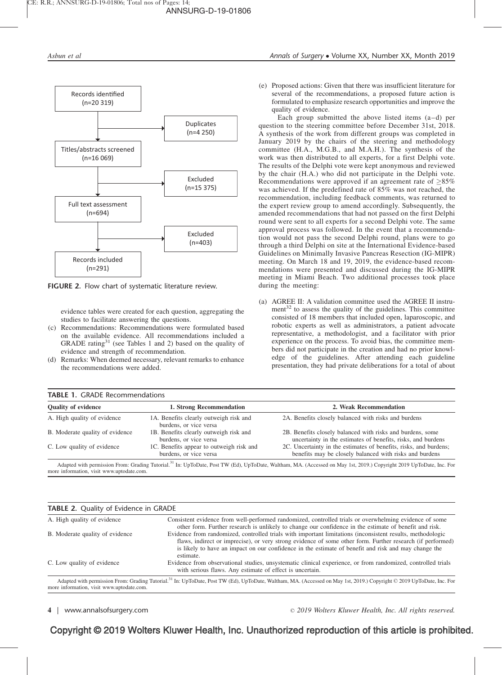

FIGURE 2. Flow chart of systematic literature review.

evidence tables were created for each question, aggregating the studies to facilitate answering the questions.

- (c) Recommendations: Recommendations were formulated based on the available evidence. All recommendations included a GRADE rating<sup>31</sup> (see Tables 1 and 2) based on the quality of evidence and strength of recommendation.
- (d) Remarks: When deemed necessary, relevant remarks to enhance the recommendations were added.

(e) Proposed actions: Given that there was insufficient literature for several of the recommendations, a proposed future action is formulated to emphasize research opportunities and improve the quality of evidence.

Each group submitted the above listed items (a–d) per question to the steering committee before December 31st, 2018. A synthesis of the work from different groups was completed in January 2019 by the chairs of the steering and methodology committee (H.A., M.G.B., and M.A.H.). The synthesis of the work was then distributed to all experts, for a first Delphi vote. The results of the Delphi vote were kept anonymous and reviewed by the chair (H.A.) who did not participate in the Delphi vote. Recommendations were approved if an agreement rate of  $>85\%$ was achieved. If the predefined rate of 85% was not reached, the recommendation, including feedback comments, was returned to the expert review group to amend accordingly. Subsequently, the amended recommendations that had not passed on the first Delphi round were sent to all experts for a second Delphi vote. The same approval process was followed. In the event that a recommendation would not pass the second Delphi round, plans were to go through a third Delphi on site at the International Evidence-based Guidelines on Minimally Invasive Pancreas Resection (IG-MIPR) meeting. On March 18 and 19, 2019, the evidence-based recommendations were presented and discussed during the IG-MIPR meeting in Miami Beach. Two additional processes took place during the meeting:

(a) AGREE II: A validation committee used the AGREE II instrument<sup>32</sup> to assess the quality of the guidelines. This committee consisted of 18 members that included open, laparoscopic, and robotic experts as well as administrators, a patient advocate representative, a methodologist, and a facilitator with prior experience on the process. To avoid bias, the committee members did not participate in the creation and had no prior knowledge of the guidelines. After attending each guideline presentation, they had private deliberations for a total of about

| <b>Quality of evidence</b>      | 1. Strong Recommendation                                           | 2. Weak Recommendation                                                                                                       |
|---------------------------------|--------------------------------------------------------------------|------------------------------------------------------------------------------------------------------------------------------|
| A. High quality of evidence     | 1A. Benefits clearly outweigh risk and<br>burdens, or vice versa   | 2A. Benefits closely balanced with risks and burdens                                                                         |
| B. Moderate quality of evidence | 1B. Benefits clearly outweigh risk and<br>burdens, or vice versa   | 2B. Benefits closely balanced with risks and burdens, some<br>uncertainty in the estimates of benefits, risks, and burdens   |
| C. Low quality of evidence      | 1C. Benefits appear to outweigh risk and<br>burdens, or vice versa | 2C. Uncertainty in the estimates of benefits, risks, and burdens;<br>benefits may be closely balanced with risks and burdens |

d on May 1st, 2019.) Copyright 2019 UpToD. more information, visit [www.uptodate.com](http://www.uptodate.com/).

### TABLE 2. Quality of Evidence in GRADE

| A. High quality of evidence               | Consistent evidence from well-performed randomized, controlled trials or overwhelming evidence of some<br>other form. Further research is unlikely to change our confidence in the estimate of benefit and risk.                                                                                                                              |
|-------------------------------------------|-----------------------------------------------------------------------------------------------------------------------------------------------------------------------------------------------------------------------------------------------------------------------------------------------------------------------------------------------|
| B. Moderate quality of evidence           | Evidence from randomized, controlled trials with important limitations (inconsistent results, methodologic<br>flaws, indirect or imprecise), or very strong evidence of some other form. Further research (if performed)<br>is likely to have an impact on our confidence in the estimate of benefit and risk and may change the<br>estimate. |
| C. Low quality of evidence                | Evidence from observational studies, unsystematic clinical experience, or from randomized, controlled trials<br>with serious flaws. Any estimate of effect is uncertain.                                                                                                                                                                      |
| more information, visit www.uptodate.com. | Adapted with permission From: Grading Tutorial. <sup>31</sup> In: UpToDate, Post TW (Ed), UpToDate, Waltham, MA. (Accessed on May 1st, 2019.) Copyright © 2019 UpToDate, Inc. For                                                                                                                                                             |

4 | www.annalsofsurgery.com 2019 Wolters Kluwer Health, Inc. All rights reserved.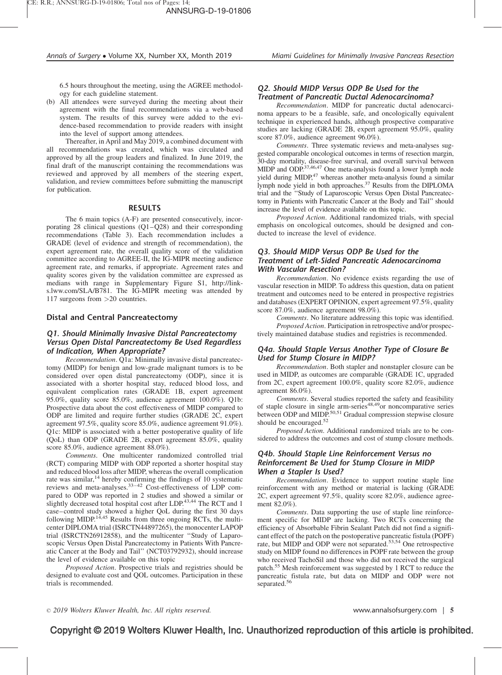6.5 hours throughout the meeting, using the AGREE methodology for each guideline statement.

(b) All attendees were surveyed during the meeting about their agreement with the final recommendations via a web-based system. The results of this survey were added to the evidence-based recommendation to provide readers with insight into the level of support among attendees.

Thereafter, in April and May 2019, a combined document with all recommendations was created, which was circulated and approved by all the group leaders and finalized. In June 2019, the final draft of the manuscript containing the recommendations was reviewed and approved by all members of the steering expert, validation, and review committees before submitting the manuscript for publication.

## RESULTS

The 6 main topics (A-F) are presented consecutively, incorporating 28 clinical questions (Q1–Q28) and their corresponding recommendations (Table 3). Each recommendation includes a GRADE (level of evidence and strength of recommendation), the expert agreement rate, the overall quality score of the validation committee according to AGREE-II, the IG-MIPR meeting audience agreement rate, and remarks, if appropriate. Agreement rates and quality scores given by the validation committee are expressed as medians with range in Supplementary Figure S1, [http://link](http://links.lww.com/SLA/B781)[s.lww.com/SLA/B781.](http://links.lww.com/SLA/B781) The IG-MIPR meeting was attended by 117 surgeons from >20 countries.

### Distal and Central Pancreatectomy

## Q1. Should Minimally Invasive Distal Pancreatectomy Versus Open Distal Pancreatectomy Be Used Regardless of Indication, When Appropriate?

Recommendation. Q1a: Minimally invasive distal pancreatectomy (MIDP) for benign and low-grade malignant tumors is to be considered over open distal pancreatectomy (ODP), since it is associated with a shorter hospital stay, reduced blood loss, and equivalent complication rates (GRADE 1B, expert agreement 95.0%, quality score 85.0%, audience agreement 100.0%). Q1b: Prospective data about the cost effectiveness of MIDP compared to ODP are limited and require further studies (GRADE 2C, expert agreement 97.5%, quality score 85.0%, audience agreement 91.0%). Q1c: MIDP is associated with a better postoperative quality of life (QoL) than ODP (GRADE 2B, expert agreement 85.0%, quality score 85.0%, audience agreement 88.0%).

Comments. One multicenter randomized controlled trial (RCT) comparing MIDP with ODP reported a shorter hospital stay and reduced blood loss after MIDP, whereas the overall complication rate was similar,<sup>14</sup> hereby confirming the findings of 10 systematic reviews and meta-analyses.33–42 Cost-effectiveness of LDP compared to ODP was reported in 2 studies and showed a similar or slightly decreased total hospital cost after LDP.<sup>43,44</sup> The RCT and 1 case–control study showed a higher QoL during the first 30 days following MIDP.<sup>14,45</sup> Results from three ongoing RCTs, the multicenter DIPLOMA trial (ISRCTN44897265), the monocenter LAPOP trial (ISRCTN26912858), and the multicenter ''Study of Laparoscopic Versus Open Distal Pancreatectomy in Patients With Pancreatic Cancer at the Body and Tail'' (NCT03792932), should increase the level of evidence available on this topic

Proposed Action. Prospective trials and registries should be designed to evaluate cost and QOL outcomes. Participation in these trials is recommended.

## Q2. Should MIDP Versus ODP Be Used for the Treatment of Pancreatic Ductal Adenocarcinoma?

Recommendation. MIDP for pancreatic ductal adenocarcinoma appears to be a feasible, safe, and oncologically equivalent technique in experienced hands, although prospective comparative studies are lacking (GRADE 2B, expert agreement 95.0%, quality score 87.0%, audience agreement 96.0%).

Comments. Three systematic reviews and meta-analyses suggested comparable oncological outcomes in terms of resection margin, 30-day mortality, disease-free survival, and overall survival between MIDP and ODP.37,46,47 One meta-analysis found a lower lymph node yield during MIDP,<sup>47</sup> whereas another meta-analysis found a similar lymph node yield in both approaches.<sup>37</sup> Results from the DIPLOMA trial and the ''Study of Laparoscopic Versus Open Distal Pancreatectomy in Patients with Pancreatic Cancer at the Body and Tail'' should increase the level of evidence available on this topic.

Proposed Action. Additional randomized trials, with special emphasis on oncological outcomes, should be designed and conducted to increase the level of evidence.

## Q3. Should MIDP Versus ODP Be Used for the Treatment of Left-Sided Pancreatic Adenocarcinoma With Vascular Resection?

Recommendation. No evidence exists regarding the use of vascular resection in MIDP. To address this question, data on patient treatment and outcomes need to be entered in prospective registries and databases (EXPERT OPINION, expert agreement 97.5%, quality score 87.0%, audience agreement 98.0%).

Comments. No literature addressing this topic was identified. Proposed Action. Participation in retrospective and/or prospectively maintained database studies and registries is recommended.

## Q4a. Should Staple Versus Another Type of Closure Be Used for Stump Closure in MIDP?

Recommendation. Both stapler and nonstapler closure can be used in MIDP, as outcomes are comparable (GRADE 1C, upgraded from 2C, expert agreement 100.0%, quality score 82.0%, audience agreement 86.0%).

Comments. Several studies reported the safety and feasibility of staple closure in single arm-series<sup>48,49</sup>or noncomparative series between ODP and MIDP.<sup>50,51</sup> Gradual compression stepwise closure should be encouraged. $52$ 

Proposed Action. Additional randomized trials are to be considered to address the outcomes and cost of stump closure methods.

#### Q4b. Should Staple Line Reinforcement Versus no Reinforcement Be Used for Stump Closure in MIDP When a Stapler Is Used?

Recommendation. Evidence to support routine staple line reinforcement with any method or material is lacking (GRADE 2C, expert agreement 97.5%, quality score 82.0%, audience agreement 82.0%).

Comments. Data supporting the use of staple line reinforcement specific for MIDP are lacking. Two RCTs concerning the efficiency of Absorbable Fibrin Sealant Patch did not find a significant effect of the patch on the postoperative pancreatic fistula (POPF) rate, but MIDP and ODP were not separated.53,54 One retrospective study on MIDP found no differences in POPF rate between the group who received TachoSil and those who did not received the surgical patch.<sup>55</sup> Mesh reinforcement was suggested by 1 RCT to reduce the pancreatic fistula rate, but data on MIDP and ODP were not separated.<sup>56</sup>

2019 Wolters Kluwer Health, Inc. All rights reserved. www.annalsofsurgery.com | 5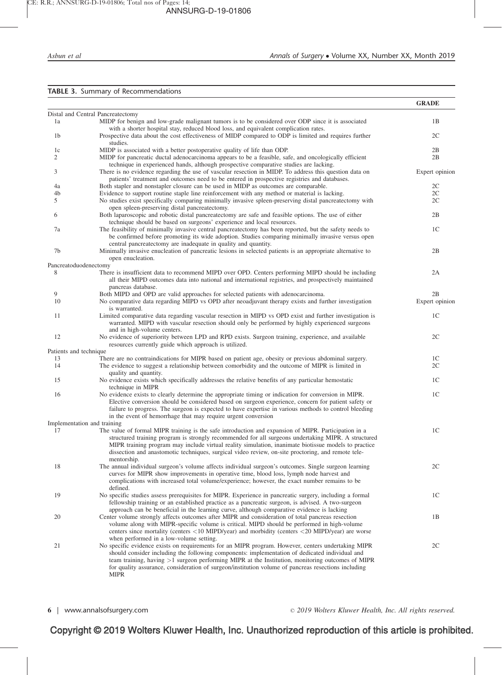## TABLE 3. Summary of Recommendations

|                        |                                                                                                                                                                                                                                                                                                                                                                                                                                                                             | <b>GRADE</b>   |
|------------------------|-----------------------------------------------------------------------------------------------------------------------------------------------------------------------------------------------------------------------------------------------------------------------------------------------------------------------------------------------------------------------------------------------------------------------------------------------------------------------------|----------------|
|                        | Distal and Central Pancreatectomy                                                                                                                                                                                                                                                                                                                                                                                                                                           |                |
| 1a                     | MIDP for benign and low-grade malignant tumors is to be considered over ODP since it is associated<br>with a shorter hospital stay, reduced blood loss, and equivalent complication rates.                                                                                                                                                                                                                                                                                  | 1B             |
| 1b                     | Prospective data about the cost effectiveness of MIDP compared to ODP is limited and requires further<br>studies.                                                                                                                                                                                                                                                                                                                                                           | 2C             |
| 1c                     | MIDP is associated with a better postoperative quality of life than ODP.                                                                                                                                                                                                                                                                                                                                                                                                    | 2B             |
| 2                      | MIDP for pancreatic ductal adenocarcinoma appears to be a feasible, safe, and oncologically efficient<br>technique in experienced hands, although prospective comparative studies are lacking.                                                                                                                                                                                                                                                                              | 2B             |
| 3                      | There is no evidence regarding the use of vascular resection in MIDP. To address this question data on<br>patients' treatment and outcomes need to be entered in prospective registries and databases.                                                                                                                                                                                                                                                                      | Expert opinion |
| 4a                     | Both stapler and nonstapler closure can be used in MIDP as outcomes are comparable.                                                                                                                                                                                                                                                                                                                                                                                         | 2C             |
| 4b                     | Evidence to support routine staple line reinforcement with any method or material is lacking.                                                                                                                                                                                                                                                                                                                                                                               | 2C             |
| 5                      | No studies exist specifically comparing minimally invasive spleen-preserving distal pancreatectomy with<br>open spleen-preserving distal pancreatectomy.                                                                                                                                                                                                                                                                                                                    | 2C             |
| 6                      | Both laparoscopic and robotic distal pancreatectomy are safe and feasible options. The use of either<br>technique should be based on surgeons' experience and local resources.                                                                                                                                                                                                                                                                                              | 2B             |
| 7a                     | The feasibility of minimally invasive central pancreatectomy has been reported, but the safety needs to<br>be confirmed before promoting its wide adoption. Studies comparing minimally invasive versus open<br>central pancreatectomy are inadequate in quality and quantity.                                                                                                                                                                                              | 1 <sup>C</sup> |
| 7b                     | Minimally invasive enucleation of pancreatic lesions in selected patients is an appropriate alternative to<br>open enucleation.                                                                                                                                                                                                                                                                                                                                             | 2B             |
|                        | Pancreatoduodenectomy                                                                                                                                                                                                                                                                                                                                                                                                                                                       |                |
| 8                      | There is insufficient data to recommend MIPD over OPD. Centers performing MIPD should be including<br>all their MIPD outcomes data into national and international registries, and prospectively maintained<br>pancreas database.                                                                                                                                                                                                                                           | 2A             |
| 9                      | Both MIPD and OPD are valid approaches for selected patients with a denocarcinoma.                                                                                                                                                                                                                                                                                                                                                                                          | 2B             |
| 10                     | No comparative data regarding MIPD vs OPD after neoadjuvant therapy exists and further investigation<br>is warranted.                                                                                                                                                                                                                                                                                                                                                       | Expert opinion |
| 11                     | Limited comparative data regarding vascular resection in MIPD vs OPD exist and further investigation is<br>warranted. MIPD with vascular resection should only be performed by highly experienced surgeons<br>and in high-volume centers.                                                                                                                                                                                                                                   | 1C             |
| 12                     | No evidence of superiority between LPD and RPD exists. Surgeon training, experience, and available<br>resources currently guide which approach is utilized.                                                                                                                                                                                                                                                                                                                 | 2C             |
| Patients and technique |                                                                                                                                                                                                                                                                                                                                                                                                                                                                             |                |
| 13                     | There are no contraindications for MIPR based on patient age, obesity or previous abdominal surgery.                                                                                                                                                                                                                                                                                                                                                                        | 1C             |
| 14                     | The evidence to suggest a relationship between comorbidity and the outcome of MIPR is limited in<br>quality and quantity.                                                                                                                                                                                                                                                                                                                                                   | 2C             |
| 15                     | No evidence exists which specifically addresses the relative benefits of any particular hemostatic<br>technique in MIPR                                                                                                                                                                                                                                                                                                                                                     | 1C             |
| 16                     | No evidence exists to clearly determine the appropriate timing or indication for conversion in MIPR.<br>Elective conversion should be considered based on surgeon experience, concern for patient safety or<br>failure to progress. The surgeon is expected to have expertise in various methods to control bleeding<br>in the event of hemorrhage that may require urgent conversion                                                                                       | 1C             |
|                        | Implementation and training                                                                                                                                                                                                                                                                                                                                                                                                                                                 |                |
| 17                     | The value of formal MIPR training is the safe introduction and expansion of MIPR. Participation in a<br>structured training program is strongly recommended for all surgeons undertaking MIPR. A structured<br>MIPR training program may include virtual reality simulation, inanimate biotissue models to practice<br>dissection and anastomotic techniques, surgical video review, on-site proctoring, and remote tele-                                                   | 1 <sup>C</sup> |
| 18                     | mentorship.<br>The annual individual surgeon's volume affects individual surgeon's outcomes. Single surgeon learning<br>curves for MIPR show improvements in operative time, blood loss, lymph node harvest and<br>complications with increased total volume/experience; however, the exact number remains to be                                                                                                                                                            | 2C             |
| 19                     | defined.<br>No specific studies assess prerequisites for MIPR. Experience in pancreatic surgery, including a formal<br>fellowship training or an established practice as a pancreatic surgeon, is advised. A two-surgeon                                                                                                                                                                                                                                                    | 1 <sup>C</sup> |
| 20                     | approach can be beneficial in the learning curve, although comparative evidence is lacking<br>Center volume strongly affects outcomes after MIPR and consideration of total pancreas resection<br>volume along with MIPR-specific volume is critical. MIPD should be performed in high-volume<br>centers since mortality (centers $\langle 10 \text{ MIPD/year} \rangle$ and morbidity (centers $\langle 20 \text{ MIPD/year} \rangle$ are worse                            | 1B             |
| 21                     | when performed in a low-volume setting.<br>No specific evidence exists on requirements for an MIPR program. However, centers undertaking MIPR<br>should consider including the following components: implementation of dedicated individual and<br>team training, having $>1$ surgeon performing MIPR at the Institution, monitoring outcomes of MIPR<br>for quality assurance, consideration of surgeon/institution volume of pancreas resections including<br><b>MIPR</b> | 2C             |

6 | www.annalsofsurgery.com 2019 Wolters Kluwer Health, Inc. All rights reserved.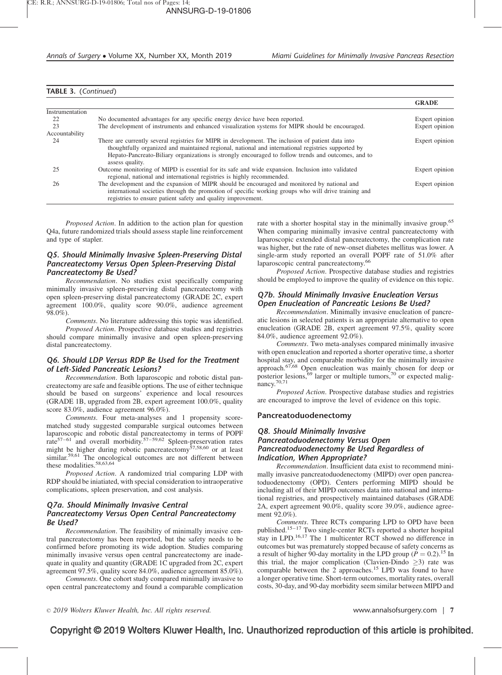## TABLE 3. (Continued)

|                 |                                                                                                                                                                                                                                                                                                                                    | <b>GRADE</b>   |
|-----------------|------------------------------------------------------------------------------------------------------------------------------------------------------------------------------------------------------------------------------------------------------------------------------------------------------------------------------------|----------------|
| Instrumentation |                                                                                                                                                                                                                                                                                                                                    |                |
| 22              | No documented advantages for any specific energy device have been reported.                                                                                                                                                                                                                                                        | Expert opinion |
| 23              | The development of instruments and enhanced visualization systems for MIPR should be encouraged.                                                                                                                                                                                                                                   | Expert opinion |
| Accountability  |                                                                                                                                                                                                                                                                                                                                    |                |
| 24              | There are currently several registries for MIPR in development. The inclusion of patient data into<br>thoughtfully organized and maintained regional, national and international registries supported by<br>Hepato-Pancreato-Biliary organizations is strongly encouraged to follow trends and outcomes, and to<br>assess quality. | Expert opinion |
|                 | Outcome monitoring of MIPD is essential for its safe and wide expansion. Inclusion into validated<br>regional, national and international registries is highly recommended.                                                                                                                                                        | Expert opinion |
| 26              | The development and the expansion of MIPR should be encouraged and monitored by national and<br>international societies through the promotion of specific working groups who will drive training and<br>registries to ensure patient safety and quality improvement.                                                               | Expert opinion |

Proposed Action. In addition to the action plan for question Q4a, future randomized trials should assess staple line reinforcement and type of stapler.

#### Q5. Should Minimally Invasive Spleen-Preserving Distal Pancreatectomy Versus Open Spleen-Preserving Distal Pancreatectomy Be Used?

Recommendation. No studies exist specifically comparing minimally invasive spleen-preserving distal pancreatectomy with open spleen-preserving distal pancreatectomy (GRADE 2C, expert agreement 100.0%, quality score 90.0%, audience agreement 98.0%).

Comments. No literature addressing this topic was identified. Proposed Action. Prospective database studies and registries should compare minimally invasive and open spleen-preserving

distal pancreatectomy. Q6. Should LDP Versus RDP Be Used for the Treatment

# of Left-Sided Pancreatic Lesions?

Recommendation. Both laparoscopic and robotic distal pancreatectomy are safe and feasible options. The use of either technique should be based on surgeons' experience and local resources (GRADE 1B, upgraded from 2B, expert agreement 100.0%, quality score 83.0%, audience agreement 96.0%).

Comments. Four meta-analyses and 1 propensity scorematched study suggested comparable surgical outcomes between laparoscopic and robotic distal pancreatectomy in terms of POPF rate<sup>57–61</sup> and overall morbidity.<sup>57–59,62</sup> Spleen-preservation rates might be higher during robotic pancreatectomy<sup>57,58,60</sup> or at least similar.<sup>59,61</sup> The oncological outcomes are not different between these modalities.<sup>58,63,64</sup>

Proposed Action. A randomized trial comparing LDP with RDP should be iniatiated, with special consideration to intraoperative complications, spleen preservation, and cost analysis.

## Q7a. Should Minimally Invasive Central Pancreatectomy Versus Open Central Pancreatectomy Be Used?

Recommendation. The feasibility of minimally invasive central pancreatectomy has been reported, but the safety needs to be confirmed before promoting its wide adoption. Studies comparing minimally invasive versus open central pancreatectomy are inadequate in quality and quantity (GRADE 1C upgraded from 2C, expert agreement 97.5%, quality score 84.0%, audience agreement 85.0%).

Comments. One cohort study compared minimally invasive to open central pancreatectomy and found a comparable complication rate with a shorter hospital stay in the minimally invasive group.<sup>65</sup> When comparing minimally invasive central pancreatectomy with laparoscopic extended distal pancreatectomy, the complication rate was higher, but the rate of new-onset diabetes mellitus was lower. A single-arm study reported an overall POPF rate of 51.0% after laparoscopic central pancreatectomy.<sup>66</sup>

Proposed Action. Prospective database studies and registries should be employed to improve the quality of evidence on this topic.

## Q7b. Should Minimally Invasive Enucleation Versus Open Enucleation of Pancreatic Lesions Be Used?

Recommendation. Minimally invasive enucleation of pancreatic lesions in selected patients is an appropriate alternative to open enucleation (GRADE 2B, expert agreement 97.5%, quality score 84.0%, audience agreement 92.0%).

Comments. Two meta-analyses compared minimally invasive with open enucleation and reported a shorter operative time, a shorter hospital stay, and comparable morbidity for the minimally invasive approach.<sup>67,68</sup> Open enucleation was mainly chosen for deep or posterior lesions,<sup>69</sup> larger or multiple tumors,<sup>70</sup> or expected malignancy.<sup>70,71</sup>

Proposed Action. Prospective database studies and registries are encouraged to improve the level of evidence on this topic.

#### Pancreatoduodenectomy

#### Q8. Should Minimally Invasive Pancreatoduodenectomy Versus Open Pancreatoduodenectomy Be Used Regardless of Indication, When Appropriate?

Recommendation. Insufficient data exist to recommend minimally invasive pancreatoduodenectomy (MIPD) over open pancreatoduodenectomy (OPD). Centers performing MIPD should be including all of their MIPD outcomes data into national and international registries, and prospectively maintained databases (GRADE 2A, expert agreement 90.0%, quality score 39.0%, audience agreement 92.0%).

Comments. Three RCTs comparing LPD to OPD have been published.15–17 Two single-center RCTs reported a shorter hospital stay in LPD.<sup>16,17</sup> The 1 multicenter RCT showed no difference in outcomes but was prematurely stopped because of safety concerns as a result of higher 90-day mortality in the LPD group ( $P = 0.2$ ).<sup>15</sup> In this trial, the major complication (Clavien-Dindo  $\geq$ 3) rate was comparable between the 2 approaches.<sup>15</sup> LPD was found to have a longer operative time. Short-term outcomes, mortality rates, overall costs, 30-day, and 90-day morbidity seem similar between MIPD and

2019 Wolters Kluwer Health, Inc. All rights reserved. www.annalsofsurgery.com | 7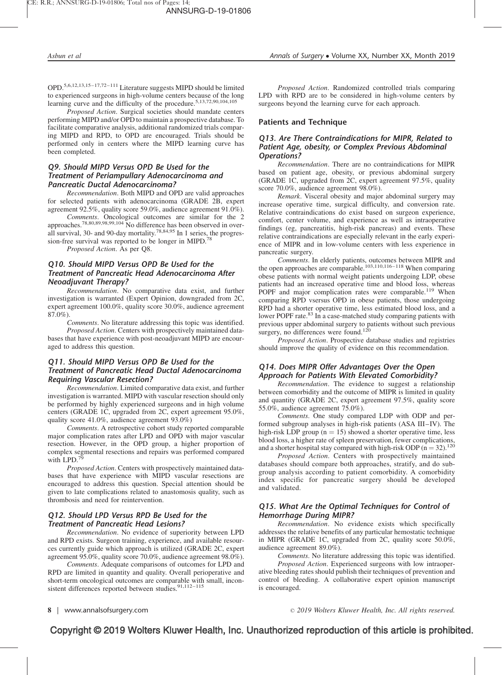OPD.5,6,12,13,15–17,72–111 Literature suggests MIPD should be limited to experienced surgeons in high-volume centers because of the long learning curve and the difficulty of the procedure.5,13,72,90,104,105

Proposed Action. Surgical societies should mandate centers performing MIPD and/or OPD to maintain a prospective database. To facilitate comparative analysis, additional randomized trials comparing MIPD and RPD, to OPD are encouraged. Trials should be performed only in centers where the MIPD learning curve has been completed.

#### Q9. Should MIPD Versus OPD Be Used for the Treatment of Periampullary Adenocarcinoma and Pancreatic Ductal Adenocarcinoma?

Recommendation. Both MIPD and OPD are valid approaches for selected patients with adenocarcinoma (GRADE 2B, expert agreement 92.5%, quality score 59.0%, audience agreement 91.0%).

Comments. Oncological outcomes are similar for the 2 approaches.<sup>78,80,89,98,99,104</sup> No difference has been observed in overall survival, 30- and 90-day mortality.<sup>78,84,95</sup> In 1 series, the progression-free survival was reported to be longer in MIPD.<sup>78</sup>

Proposed Action. As per Q8.

#### Q10. Should MIPD Versus OPD Be Used for the Treatment of Pancreatic Head Adenocarcinoma After Neoadjuvant Therapy?

Recommendation. No comparative data exist, and further investigation is warranted (Expert Opinion, downgraded from 2C, expert agreement 100.0%, quality score 30.0%, audience agreement 87.0%).

Comments. No literature addressing this topic was identified. Proposed Action. Centers with prospectively maintained databases that have experience with post-neoadjuvant MIPD are encouraged to address this question.

### Q11. Should MIPD Versus OPD Be Used for the Treatment of Pancreatic Head Ductal Adenocarcinoma Requiring Vascular Resection?

Recommendation. Limited comparative data exist, and further investigation is warranted. MIPD with vascular resection should only be performed by highly experienced surgeons and in high volume centers (GRADE 1C, upgraded from 2C, expert agreement 95.0%, quality score 41.0%, audience agreement 93.0%)

Comments. A retrospective cohort study reported comparable major complication rates after LPD and OPD with major vascular resection. However, in the OPD group, a higher proportion of complex segmental resections and repairs was performed compared with LPD.<sup>7</sup>

Proposed Action. Centers with prospectively maintained databases that have experience with MIPD vascular resections are encouraged to address this question. Special attention should be given to late complications related to anastomosis quality, such as thrombosis and need for reintervention.

## Q12. Should LPD Versus RPD Be Used for the Treatment of Pancreatic Head Lesions?

Recommendation. No evidence of superiority between LPD and RPD exists. Surgeon training, experience, and available resources currently guide which approach is utilized (GRADE 2C, expert agreement 95.0%, quality score 70.0%, audience agreement 98.0%).

Comments. Adequate comparisons of outcomes for LPD and RPD are limited in quantity and quality. Overall perioperative and short-term oncological outcomes are comparable with small, inconsistent differences reported between studies.<sup>91,112-115</sup>

Proposed Action. Randomized controlled trials comparing LPD with RPD are to be considered in high-volume centers by surgeons beyond the learning curve for each approach.

#### Patients and Technique

#### Q13. Are There Contraindications for MIPR, Related to Patient Age, obesity, or Complex Previous Abdominal Operations?

Recommendation. There are no contraindications for MIPR based on patient age, obesity, or previous abdominal surgery (GRADE 1C, upgraded from 2C, expert agreement 97.5%, quality score 70.0%, audience agreement 98.0%).

Remark. Visceral obesity and major abdominal surgery may increase operative time, surgical difficulty, and conversion rate. Relative contraindications do exist based on surgeon experience, comfort, center volume, and experience as well as intraoperative findings (eg, pancreatitis, high-risk pancreas) and events. These relative contraindications are especially relevant in the early experience of MIPR and in low-volume centers with less experience in pancreatic surgery.

Comments. In elderly patients, outcomes between MIPR and the open approaches are comparable.<sup>103,110,116–118</sup> When comparing obese patients with normal weight patients undergoing LDP, obese patients had an increased operative time and blood loss, whereas POPF and major complication rates were comparable.<sup>119</sup> When comparing RPD vsersus OPD in obese patients, those undergoing RPD had a shorter operative time, less estimated blood loss, and a lower POPF rate.<sup>83</sup> In a case-matched study comparing patients with previous upper abdominal surgery to patients without such previous surgery, no differences were found.<sup>120</sup>

Proposed Action. Prospective database studies and registries should improve the quality of evidence on this recommendation.

#### Q14. Does MIPR Offer Advantages Over the Open Approach for Patients With Elevated Comorbidity?

Recommendation. The evidence to suggest a relationship between comorbidity and the outcome of MIPR is limited in quality and quantity (GRADE 2C, expert agreement 97.5%, quality score 55.0%, audience agreement 75.0%).

Comments. One study compared LDP with ODP and performed subgroup analyses in high-risk patients (ASA III–IV). The high-risk LDP group ( $n = 15$ ) showed a shorter operative time, less blood loss, a higher rate of spleen preservation, fewer complications, and a shorter hospital stay compared with high-risk ODP ( $n = 32$ ).<sup>120</sup>

Proposed Action. Centers with prospectively maintained databases should compare both approaches, stratify, and do subgroup analysis according to patient comorbidity. A comorbidity index specific for pancreatic surgery should be developed and validated.

#### Q15. What Are the Optimal Techniques for Control of Hemorrhage During MIPR?

Recommendation. No evidence exists which specifically addresses the relative benefits of any particular hemostatic technique in MIPR (GRADE 1C, upgraded from 2C, quality score 50.0%, audience agreement 89.0%).

Comments. No literature addressing this topic was identified.

Proposed Action. Experienced surgeons with low intraoperative bleeding rates should publish their techniques of prevention and control of bleeding. A collaborative expert opinion manuscript is encouraged.

8 | www.annalsofsurgery.com 2019 Wolters Kluwer Health, Inc. All rights reserved.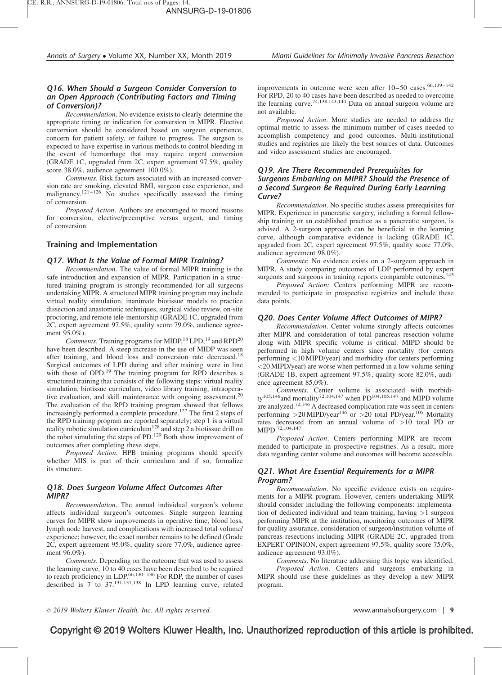## Q16. When Should a Surgeon Consider Conversion to an Open Approach (Contributing Factors and Timing of Conversion)?

Recommendation. No evidence exists to clearly determine the appropriate timing or indication for conversion in MIPR. Elective conversion should be considered based on surgeon experience, concern for patient safety, or failure to progress. The surgeon is expected to have expertise in various methods to control bleeding in the event of hemorrhage that may require urgent conversion (GRADE 1C, upgraded from 2C, expert agreement 97.5%, quality score 38.0%, audience agreement 100.0%).

Comments. Risk factors associated with an increased conversion rate are smoking, elevated BMI, surgeon case experience, and malignancy.<sup>121–126</sup> No studies specifically assessed the timing of conversion.

Proposed Action. Authors are encouraged to record reasons for conversion, elective/preemptive versus urgent, and timing of conversion.

#### Training and Implementation

#### Q17. What Is the Value of Formal MIPR Training?

Recommendation. The value of formal MIPR training is the safe introduction and expansion of MIPR. Participation in a structured training program is strongly recommended for all surgeons undertaking MIPR. A structured MIPR training program may include virtual reality simulation, inanimate biotissue models to practice dissection and anastomotic techniques, surgical video review, on-site proctoring, and remote tele-mentorship (GRADE 1C, upgraded from 2C, expert agreement 97.5%, quality score 79.0%, audience agreement 95.0%).

Comments. Training programs for MIDP,<sup>18</sup> LPD,<sup>19</sup> and RPD<sup>20</sup> have been described. A steep increase in the use of MIDP was seen after training, and blood loss and conversion rate decreased.<sup>18</sup> Surgical outcomes of LPD during and after training were in line with those of OPD.<sup>19</sup> The training program for RPD describes a structured training that consists of the following steps: virtual reality simulation, biotissue curriculum, video library training, intraoperative evaluation, and skill maintenance with ongoing assessment.<sup>20</sup> The evaluation of the RPD training program showed that fellows increasingly performed a complete procedure.<sup>127</sup> The first 2 steps of the RPD training program are reported separately; step 1 is a virtual reality robotic simulation curriculum<sup>128</sup> and step 2 a biotissue drill on the robot simulating the steps of PD.<sup>129</sup> Both show improvement of outcomes after completing these steps.

Proposed Action. HPB training programs should specify whether MIS is part of their curriculum and if so, formalize its structure.

## Q18. Does Surgeon Volume Affect Outcomes After MIPR?

Recommendation. The annual individual surgeon's volume affects individual surgeon's outcomes. Single surgeon learning curves for MIPR show improvements in operative time, blood loss, lymph node harvest, and complications with increased total volume/ experience; however, the exact number remains to be defined (Grade 2C, expert agreement 95.0%, quality score 77.0%, audience agreement 96.0%).

Comments. Depending on the outcome that was used to assess the learning curve, 10 to 40 cases have been described to be required to reach proficiency in LDP.<sup>66,130-136</sup> For RDP, the number of cases described is 7 to 37.131,137,138 In LPD learning curve, related improvements in outcome were seen after  $10-50$  cases.<sup>66,139-142</sup> For RPD, 20 to 40 cases have been described as needed to overcome the learning curve.74,138,143,144 Data on annual surgeon volume are not available.

Proposed Action. More studies are needed to address the optimal metric to assess the minimum number of cases needed to accomplish competency and good outcomes. Multi-institutional studies and registries are likely the best sources of data. Outcomes and video assessment studies are encouraged.

#### Q19. Are There Recommended Prerequisites for Surgeons Embarking on MIPR? Should the Presence of a Second Surgeon Be Required During Early Learning Curve?

Recommendation. No specific studies assess prerequisites for MIPR. Experience in pancreatic surgery, including a formal fellowship training or an established practice as a pancreatic surgeon, is advised. A 2-surgeon approach can be beneficial in the learning curve, although comparative evidence is lacking (GRADE 1C, upgraded from 2C, expert agreement 97.5%, quality score 77.0%, audience agreement 98.0%).

Comments: No evidence exists on a 2-surgeon approach in MIPR. A study comparing outcomes of LDP performed by expert surgeons and surgeons in training reports comparable outcomes.<sup>145</sup>

Proposed Action: Centers performing MIPR are recommended to participate in prospective registries and include these data points.

#### Q20. Does Center Volume Affect Outcomes of MIPR?

Recommendation. Center volume strongly affects outcomes after MIPR and consideration of total pancreas resection volume along with MIPR specific volume is critical. MIPD should be performed in high volume centers since mortality (for centers performing <10 MIPD/year) and morbidity (for centers performing <20 MIPD/year) are worse when performed in a low volume setting (GRADE 1B, expert agreement 97.5%, quality score 82.0%, audience agreement 85.0%).

Comments. Center volume is associated with morbidity<sup>105,146</sup>and mortality<sup>72,104,147</sup> when PD<sup>104,105,147</sup> and MIPD volume are analyzed.72,146 A decreased complication rate was seen in centers performing  $>$  20 MIPD/year<sup>146</sup> or  $>$  20 total PD/year.<sup>105</sup> Mortality rates decreased from an annual volume of >10 total PD or MIPD.72,104,147

Proposed Action. Centers performing MIPR are recommended to participate in prospective registries. As a result, more data regarding center volume and outcomes will become accessible.

#### Q21. What Are Essential Requirements for a MIPR Program?

Recommendation. No specific evidence exists on requirements for a MIPR program. However, centers undertaking MIPR should consider including the following components: implementation of dedicated individual and team training, having >1 surgeon performing MIPR at the institution, monitoring outcomes of MIPR for quality assurance, consideration of surgeon/institution volume of pancreas resections including MIPR (GRADE 2C, upgraded from EXPERT OPINION, expert agreement 97.5%, quality score 75.0%, audience agreement 93.0%).

Comments. No literature addressing this topic was identified. Proposed Action. Centers and surgeons embarking in MIPR should use these guidelines as they develop a new MIPR

2019 Wolters Kluwer Health, Inc. All rights reserved. www.annalsofsurgery.com | 9

# Copyright © 2019 Wolters Kluwer Health, Inc. Unauthorized reproduction of this article is prohibited.

program.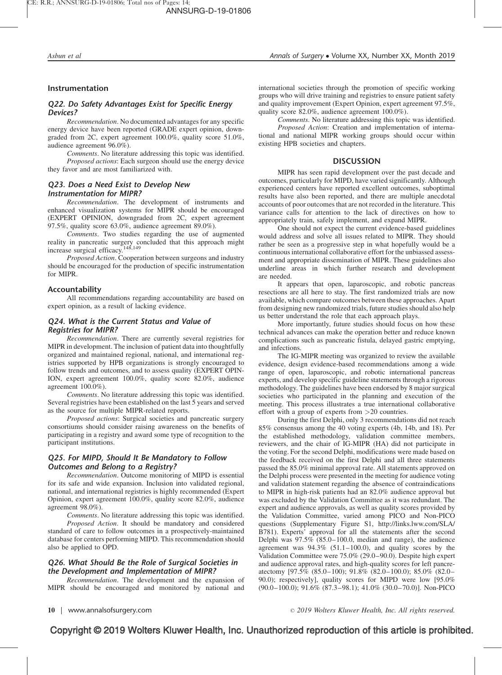#### Instrumentation

## Q22. Do Safety Advantages Exist for Specific Energy Devices?

Recommendation. No documented advantages for any specific energy device have been reported (GRADE expert opinion, downgraded from 2C, expert agreement 100.0%, quality score 51.0%, audience agreement 96.0%).

Comments. No literature addressing this topic was identified. Proposed actions: Each surgeon should use the energy device they favor and are most familiarized with.

#### Q23. Does a Need Exist to Develop New Instrumentation for MIPR?

Recommendation. The development of instruments and enhanced visualization systems for MIPR should be encouraged (EXPERT OPINION, downgraded from 2C, expert agreement 97.5%, quality score 63.0%, audience agreement 89.0%).

Comments. Two studies regarding the use of augmented reality in pancreatic surgery concluded that this approach might increase surgical efficacy.148,149

Proposed Action. Cooperation between surgeons and industry should be encouraged for the production of specific instrumentation for MIPR.

#### Accountability

All recommendations regarding accountability are based on expert opinion, as a result of lacking evidence.

## Q24. What is the Current Status and Value of Registries for MIPR?

Recommendation. There are currently several registries for MIPR in development. The inclusion of patient data into thoughtfully organized and maintained regional, national, and international registries supported by HPB organizations is strongly encouraged to follow trends and outcomes, and to assess quality (EXPERT OPIN-ION, expert agreement 100.0%, quality score 82.0%, audience agreement 100.0%).

Comments. No literature addressing this topic was identified. Several registries have been established on the last 5 years and served as the source for multiple MIPR-related reports.

Proposed actions: Surgical societies and pancreatic surgery consortiums should consider raising awareness on the benefits of participating in a registry and award some type of recognition to the participant institutions.

### Q25. For MIPD, Should It Be Mandatory to Follow Outcomes and Belong to a Registry?

Recommendation. Outcome monitoring of MIPD is essential for its safe and wide expansion. Inclusion into validated regional, national, and international registries is highly recommended (Expert Opinion, expert agreement 100.0%, quality score 82.0%, audience agreement 98.0%).

Comments. No literature addressing this topic was identified. Proposed Action. It should be mandatory and considered standard of care to follow outcomes in a prospectively-maintained database for centers performing MIPD. This recommendation should also be applied to OPD.

#### Q26. What Should Be the Role of Surgical Societies in the Development and Implementation of MIPR?

Recommendation. The development and the expansion of MIPR should be encouraged and monitored by national and international societies through the promotion of specific working groups who will drive training and registries to ensure patient safety and quality improvement (Expert Opinion, expert agreement 97.5%, quality score 82.0%, audience agreement 100.0%).

Comments. No literature addressing this topic was identified. Proposed Action: Creation and implementation of international and national MIPR working groups should occur within existing HPB societies and chapters.

#### **DISCUSSION**

MIPR has seen rapid development over the past decade and outcomes, particularly for MIPD, have varied significantly. Although experienced centers have reported excellent outcomes, suboptimal results have also been reported, and there are multiple anecdotal accounts of poor outcomes that are not recorded in the literature. This variance calls for attention to the lack of directives on how to appropriately train, safely implement, and expand MIPR.

One should not expect the current evidence-based guidelines would address and solve all issues related to MIPR. They should rather be seen as a progressive step in what hopefully would be a continuous international collaborative effort for the unbiassed assessment and appropriate dissemination of MIPR. These guidelines also underline areas in which further research and development are needed.

It appears that open, laparoscopic, and robotic pancreas resections are all here to stay. The first randomized trials are now available, which compare outcomes between these approaches. Apart from designing new randomized trials, future studies should also help us better understand the role that each approach plays.

More importantly, future studies should focus on how these technical advances can make the operation better and reduce known complications such as pancreatic fistula, delayed gastric emptying, and infections.

The IG-MIPR meeting was organized to review the available evidence, design evidence-based recommendations among a wide range of open, laparoscopic, and robotic international pancreas experts, and develop specific guideline statements through a rigorous methodology. The guidelines have been endorsed by 8 major surgical societies who participated in the planning and execution of the meeting. This process illustrates a true international collaborative effort with a group of experts from >20 countries.

During the first Delphi, only 3 recommendations did not reach 85% consensus among the 40 voting experts (4b, 14b, and 18). Per the established methodology, validation committee members, reviewers, and the chair of IG-MIPR (HA) did not participate in the voting. For the second Delphi, modifications were made based on the feedback received on the first Delphi and all three statements passed the 85.0% minimal approval rate. All statements approved on the Delphi process were presented in the meeting for audience voting and validation statement regarding the absence of contraindications to MIPR in high-risk patients had an 82.0% audience approval but was excluded by the Validation Committee as it was redundant. The expert and audience approvals, as well as quality scores provided by the Validation Committee, varied among PICO and Non-PICO questions (Supplementary Figure S1, [http://links.lww.com/SLA/](http://links.lww.com/SLA/B781) [B781](http://links.lww.com/SLA/B781)). Experts' approval for all the statements after the second Delphi was 97.5% (85.0–100.0, median and range), the audience agreement was  $94.3\%$  (51.1–100.0), and quality scores by the Validation Committee were 75.0% (29.0–90.0). Despite high expert and audience approval rates, and high-quality scores for left pancreatectomy [97.5% (85.0–100); 91.8% (82.0–100.0); 85.0% (82.0– 90.0); respectively], quality scores for MIPD were low [95.0% (90.0–100.0); 91.6% (87.3–98.1); 41.0% (30.0–70.0)]. Non-PICO

10 | www.annalsofsurgery.com  $\degree$  2019 Wolters Kluwer Health, Inc. All rights reserved.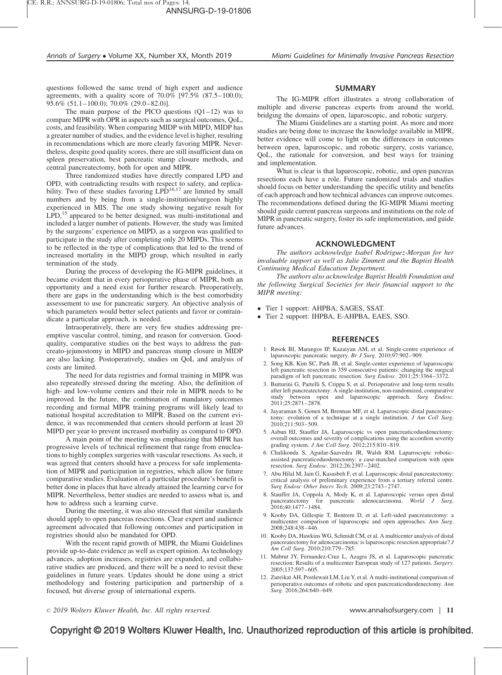questions followed the same trend of high expert and audience agreements, with a quality score of  $70.0\%$  [97.5% (87.5–100.0); 95.6% (51.1–100.0); 70.0% (29.0–82.0)].

The main purpose of the PICO questions  $(Q1-12)$  was to compare MIPR with OPR in aspects such as surgical outcomes, QoL, costs, and feasibility. When comparing MIDP with MIPD, MIDP has a greater number of studies, and the evidence level is higher, resulting in recommendations which are more clearly favoring MIPR. Nevertheless, despite good quality scores, there are still insufficient data on spleen preservation, best pancreatic stump closure methods, and central pancreatectomy, both for open and MIPR.

Three randomized studies have directly compared LPD and OPD, with contradicting results with respect to safety, and replicability. Two of these studies favoring LPD<sup>16,17</sup> are limited by small numbers and by being from a single-institution/surgeon highly experienced in MIS. The one study showing negative result for LPD,<sup>15</sup> appeared to be better designed, was multi-institutional and included a larger number of patients. However, the study was limited by the surgeons' experience on MIPD, as a surgeon was qualified to participate in the study after completing only 20 MIPDs. This seems to be reflected in the type of complications that led to the trend of increased mortality in the MIPD group, which resulted in early termination of the study.

During the process of developing the IG-MIPR guidelines, it became evident that in every perioperative phase of MIPR, both an opportunity and a need exist for further research. Preoperatively, there are gaps in the understanding which is the best comorbidity assessement to use for pancreatic surgery. An objective analysis of which parameters would better select patients and favor or contraindicate a particular approach, is needed.

Intraoperatively, there are very few studies addressing preemptive vascular control, timing, and reason for conversion. Goodquality, comparative studies on the best ways to address the pancreato-jejunostomy in MIPD and pancreas stump closure in MIDP are also lacking. Postoperatively, studies on QoL and analysis of costs are limited.

The need for data registries and formal training in MIPR was also repeatedly stressed during the meeting. Also, the definition of high- and low-volume centers and their role in MIPR needs to be improved. In the future, the combination of mandatory outcomes recording and formal MIPR training programs will likely lead to national hospital accreditation to MIPR. Based on the current evidence, it was recommended that centers should perform at least 20 MIPD per year to prevent increased morbidity as compared to OPD.

A main point of the meeting was emphasizing that MIPR has progressive levels of technical refinement that range from enucleations to highly complex surgeries with vascular resections. As such, it was agreed that centers should have a process for safe implementation of MIPR and participation in registries, which allow for future comparative studies. Evaluation of a particular procedure's benefit is better done in places that have already attained the learning curve for MIPR. Nevertheless, better studies are needed to assess what is, and how to address such a learning curve.

During the meeting, it was also stressed that similar standards should apply to open pancreas resections. Clear expert and audience agreement advocated that following outcomes and participation in registries should also be mandated for OPD.

With the recent rapid growth of MIPR, the Miami Guidelines provide up-to-date evidence as well as expert opinion. As technology advances, adoption increases, registries are expanded, and collaborative studies are produced, and there will be a need to revisit these guidelines in future years. Updates should be done using a strict methodology and fostering participation and partnership of a focused, but diverse group of international experts.

#### SUMMARY

The IG-MIPR effort illustrates a strong collaboration of multiple and diverse pancreas experts from around the world, bridging the domains of open, laparoscopic, and robotic surgery.

The Miami Guidelines are a starting point. As more and more studies are being done to increase the knowledge available in MIPR, better evidence will come to light on the differences in outcomes between open, laparoscopic, and robotic surgery, costs variance, QoL, the rationale for conversion, and best ways for training and implementation.

What is clear is that laparoscopic, robotic, and open pancreas resections each have a role. Future randomized trials and studies should focus on better understanding the specific utility and benefits of each approach and how technical advances can improve outcomes. The recommendations defined during the IG-MIPR Miami meeting should guide current pancreas surgeons and institutions on the role of MIPR in pancreatic surgery, foster its safe implementation, and guide future advances.

#### ACKNOWLEDGMENT

The authors acknowledge Isabel Rodriguez-Morgan for her invaluable support as well as Julie Zimmett and the Baptist Health Continuing Medical Education Department.

The authors also acknowledge Baptist Health Foundation and the following Surgical Societies for their financial support to the MIPR meeting:

- Tier 1 support: AHPBA, SAGES, SSAT.
- Tier 2 support: IHPBA, E-AHPBA, EAES, SSO.

#### REFERENCES

- 1. Røsok BI, Marangos IP, Kazaiyan AM, et al. Single-centre experience of laparoscopic pancreatic surgery. Br J Surg. 2010;97:902–909.
- 2. Song KB, Kim SC, Park JB, et al. Single-center experience of laparoscopic left pancreatic resection in 359 consecutive patients: changing the surgical paradigm of left pancreatic resection. Surg Endosc. 2011;25:3364-3372.
- 3. Butturini G, Partelli S, Crippa S, et al. Perioperative and long-term results after left pancreatectomy: A single-institution, non-randomized, comparative<br>study between open and laparoscopic approach. Surg Endosc. 2011;25:2871–2878.
- 4. Jayaraman S, Gonen M, Brennan MF, et al. Laparoscopic distal pancreatectomy: evolution of a technique at a single institution.  $J Am$  Coll Surg. 2010;211:503–509.
- 5. Asbun HJ, Stauffer JA. Laparoscopic vs open pancreaticoduodenectomy: overall outcomes and severity of complications using the accordion severity grading system.  $J Am$  Coll Surg.  $2012:215:810-819$ .
- 6. Chalikonda S, Aguilar-Saavedra JR, Walsh RM. Laparoscopic roboticassisted pancreaticoduodenectomy: a case-matched comparison with open resection. Surg Endosc. 2012;26:2397–2402.
- 7. Abu Hilal M, Jain G, Kasasbeh F, et al. Laparoscopic distal pancreatectomy: critical analysis of preliminary experience from a tertiary referral centre. Surg Endosc Other Interv Tech. 2009;23:2743–2747.
- 8. Stauffer JA, Coppola A, Mody K, et al. Laparoscopic versus open distal pancreatectomy for pancreatic adenocarcinoma. World J Surg. 2016;40:1477–1484.
- 9. Kooby DA, Gillespie T, Bentrem D, et al. Left-sided pancreatectomy: a multicenter comparison of laparoscopic and open approaches. Ann Surg. 2008;248:438–446.
- 10. Kooby DA, Hawkins WG, Schmidt CM, et al. A multicenter analysis of distal pancreatectomy for adenocarcinoma: is laparoscopic resection appropriate? J Am Coll Surg. 2010;210:779–785.
- 11. Mabrut JY, Fernandez-Cruz L, Azagra JS, et al. Laparoscopic pancreatic resection: Results of a multicenter European study of 127 patients. Surgery. 2005;137:597–605.
- 12. Zureikat AH, Postlewait LM, Liu Y, et al. A multi-institutional comparison of perioperative outcomes of robotic and open pancreaticoduodenectomy. Ann Surg. 2016;264:640–649.

2019 Wolters Kluwer Health, Inc. All rights reserved. www.annalsofsurgery.com | 11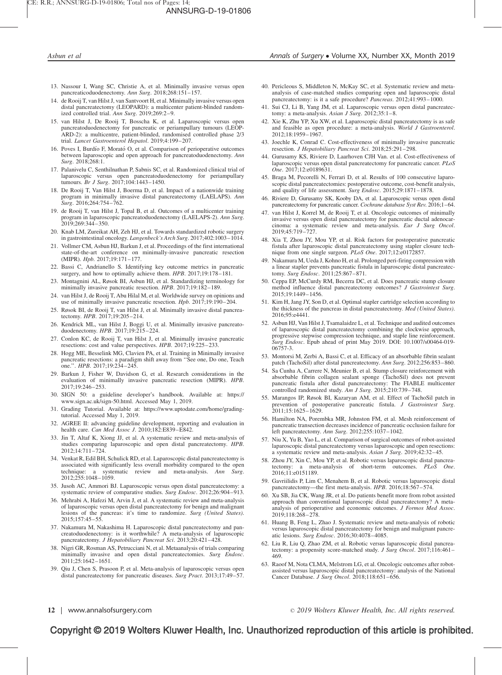- 13. Nassour I, Wang SC, Christie A, et al. Minimally invasive versus open pancreaticoduodenectomy. Ann Surg. 2018;268:151–157.
- 14. de Rooij T, van Hilst J, van Santvoort H, et al. Minimally invasive versus open distal pancreatectomy (LEOPARD): a multicenter patient-blinded randomized controlled trial. Ann Surg. 2019;269:2–9.
- 15. van Hilst J, De Rooij T, Bosscha K, et al. Laparoscopic versus open pancreatoduodenectomy for pancreatic or periampullary tumours (LEOP-ARD-2): a multicentre, patient-blinded, randomised controlled phase 2/3 trial. Lancet Gastroenterol Hepatol. 2019;4:199–207.
- 16. Poves I, Burdío F, Morató O, et al. Comparison of perioperative outcomes between laparoscopic and open approach for pancreatoduodenectomy. Ann Surg. 2018;268:1.
- 17. Palanivelu C, Senthilnathan P, Sabnis SC, et al. Randomized clinical trial of laparoscopic versus open pancreatoduodenectomy for periampullary tumours. Br J Surg. 2017;104:1443–1450.
- 18. De Rooij T, Van Hilst J, Boerma D, et al. Impact of a nationwide training program in minimally invasive distal pancreatectomy (LAELAPS). Ann Surg. 2016;264:754–762.
- 19. de Rooij T, van Hilst J, Topal B, et al. Outcomes of a multicenter training program in laparoscopic pancreatoduodenectomy (LAELAPS-2). Ann Surg. 2019;269:344–350.
- 20. Knab LM, Zureikat AH, Zeh HJ, et al. Towards standardized robotic surgery in gastrointestinal oncology. Langenbeck's Arch Surg. 2017;402:1003–1014.
- 21. Vollmer CM, Asbun HJ, Barkun J, et al. Proceedings of the first international state-of-the-art conference on minimally-invasive pancreatic resection (MIPR). Hpb. 2017;19:171–177.
- 22. Bassi C, Andrianello S. Identifying key outcome metrics in pancreatic surgery, and how to optimally achieve them. HPB. 2017;19:178–181.
- 23. Montagnini AL, Røsok BI, Asbun HJ, et al. Standardizing terminology for minimally invasive pancreatic resection. HPB. 2017;19:182–189.
- 24. van Hilst J, de Rooij T, Abu Hilal M, et al. Worldwide survey on opinions and use of minimally invasive pancreatic resection. Hpb. 2017;19:190–204.
- 25. Røsok BI, de Rooij T, van Hilst J, et al. Minimally invasive distal pancreatectomy. HPB. 2017;19:205–214.
- 26. Kendrick ML, van Hilst J, Boggi U, et al. Minimally invasive pancreato-duodenectomy. HPB. 2017;19:215–224.
- 27. Conlon KC, de Rooij T, van Hilst J, et al. Minimally invasive pancreatic resections: cost and value perspectives. HPB. 2017;19:225-233.
- 28. Hogg ME, Besselink MG, Clavien PA, et al. Training in Minimally invasive pancreatic resections: a paradigm shift away from ''See one, Do one, Teach one.''. HPB. 2017;19:234–245.
- 29. Barkun J, Fisher W, Davidson G, et al. Research considerations in the evaluation of minimally invasive pancreatic resection (MIPR). HPB. 2017;19:246–253.
- 30. SIGN 50: a guideline developer's handbook. Available at: [https://](https://www.sign.ac.uk/sign-50.html) [www.sign.ac.uk/sign-50.html. Accessed May 1, 2019.](https://www.sign.ac.uk/sign-50.html)
- 31. Grading Tutorial. Available at: [https://www.uptodate.com/home/grading](https://www.uptodate.com/home/grading-tutorial)[tutorial. Accessed May 1, 2019.](https://www.uptodate.com/home/grading-tutorial)
- 32. AGREE II: advancing guideline development, reporting and evaluation in health care. Can Med Assoc J. 2010;182:E839-E842.
- 33. Jin T, Altaf K, Xiong JJ, et al. A systematic review and meta-analysis of studies comparing laparoscopic and open distal pancreatectomy. HPB. 2012;14:711–724.
- 34. Venkat R, Edil BH, Schulick RD, et al. Laparoscopic distal pancreatectomy is associated with significantly less overall morbidity compared to the open technique: a systematic review and meta-analysis. Ann Surg. 2012;255:1048–1059.
- 35. Jusoh AC, Ammori BJ. Laparoscopic versus open distal pancreatectomy: a systematic review of comparative studies. Surg Endosc. 2012;26:904-913.
- 36. Mehrabi A, Hafezi M, Arvin J, et al. A systematic review and meta-analysis of laparoscopic versus open distal pancreatectomy for benign and malignant lesions of the pancreas: it's time to randomize. Surg (United States). 2015;157:45–55.
- 37. Nakamura M, Nakashima H. Laparoscopic distal pancreatectomy and pancreatoduodenectomy: is it worthwhile? A meta-analysis of laparoscopic pancreatectomy. J Hepatobiliary Pancreat Sci. 2013;20:421-428.
- 38. Nigri GR, Rosman AS, Petrucciani N, et al. Metaanalysis of trials comparing minimally invasive and open distal pancreatectomies. Surg Endosc. 2011;25:1642–1651.
- 39. Qiu J, Chen S, Prasoon P, et al. Meta-analysis of laparoscopic versus open distal pancreatectomy for pancreatic diseases. Surg Pract. 2013;17:49–57.
- 40. Pericleous S, Middleton N, McKay SC, et al. Systematic review and metaanalysis of case-matched studies comparing open and laparoscopic distal pancreatectomy: is it a safe procedure? Pancreas. 2012;41:993-1000.
- 41. Sui CJ, Li B, Yang JM, et al. Laparoscopic versus open distal pancreatectomy: a meta-analysis. Asian J Surg. 2012;35:1-8.
- 42. Xie K, Zhu YP, Xu XW, et al. Laparoscopic distal pancreatectomy is as safe and feasible as open procedure: a meta-analysis. World J Gastroenterol. 2012;18:1959–1967.
- 43. Joechle K, Conrad C. Cost-effectiveness of minimally invasive pancreatic resection. J Hepatobiliary Pancreat Sci. 2018;25:291–298.
- 44. Gurusamy KS, Riviere D, Laarhoven CJH Van. et al. Cost-effectiveness of laparoscopic versus open distal pancreatectomy for pancreatic cancer. PLoS One. 2017;12:e0189631.
- 45. Braga M, Pecorelli N, Ferrari D, et al. Results of 100 consecutive laparoscopic distal pancreatectomies: postoperative outcome, cost-benefit analysis, and quality of life assessment. Surg Endosc. 2015;29:1871-1878.
- 46. Riviere D, Gurusamy SK, Kooby DA, et al. Laparoscopic versus open distal pancreatectomy for pancreatic cancer. Cochrane database Syst Rev. 2016;1-64.
- 47. van Hilst J, Korrel M, de Rooij T, et al. Oncologic outcomes of minimally invasive versus open distal pancreatectomy for pancreatic ductal adenocarcinoma: a systematic review and meta-analysis. Eur J Surg Oncol. 2019;45:719–727.
- 48. Xia T, Zhou JY, Mou YP, et al. Risk factors for postoperative pancreatic fistula after laparoscopic distal pancreatectomy using stapler closure technique from one single surgeon. PLoS One. 2017;12:e0172857.
- 49. Nakamura M, Ueda J, Kohno H, et al. Prolonged peri-firing compression with a linear stapler prevents pancreatic fistula in laparoscopic distal pancreatectomy. Surg Endosc. 2011;25:867–871.
- 50. Ceppa EP, McCurdy RM, Becerra DC, et al. Does pancreatic stump closure method influence distal pancreatectomy outcomes? J Gastrointest Surg. 2015;19:1449–1456.
- 51. Kim H, Jang JY, Son D, et al. Optimal stapler cartridge selection according to the thickness of the pancreas in distal pancreatectomy. Med (United States). 2016;95:e4441.
- 52. Asbun HJ, Van Hilst J, Tsamalaidze L, et al. Technique and audited outcomes of laparoscopic distal pancreatectomy combining the clockwise approach, progressive stepwise compression technique, and staple line reinforcement. Surg Endosc. Epub ahead of print May 2019. DOI: 10.1007/s00464-019-06757-3.
- 53. Montorsi M, Zerbi A, Bassi C, et al. Efficacy of an absorbable fibrin sealant patch (TachoSil) after distal pancreatectomy. Ann Surg. 2012;256:853–860.
- 54. Sa Cunha A, Carrere N, Meunier B, et al. Stump closure reinforcement with absorbable fibrin collagen sealant sponge (TachoSil) does not prevent pancreatic fistula after distal pancreatectomy: The FIABLE multicenter controlled randomized study. Am J Surg. 2015;210:739–748.
- 55. Marangos IP, Røsok BI, Kazaryan AM, et al. Effect of TachoSil patch in prevention of postoperative pancreatic fistula. J Gastrointest Surg. 2011;15:1625–1629.
- 56. Hamilton NA, Porembka MR, Johnston FM, et al. Mesh reinforcement of pancreatic transection decreases incidence of pancreatic occlusion failure for left pancreatectomy. Ann Surg. 2012;255:1037–1042.
- 57. Niu X, Yu B, Yao L, et al. Comparison of surgical outcomes of robot-assisted laparoscopic distal pancreatectomy versus laparoscopic and open resections: a systematic review and meta-analysis. Asian J Surg. 2019;42:32–45.
- 58. Zhou JY, Xin C, Mou YP, et al. Robotic versus laparoscopic distal pancreatectomy: a meta-analysis of short-term outcomes. PLoS One. 2016;11:e0151189.
- 59. Gavriilidis P, Lim C, Menahem B, et al. Robotic versus laparoscopic distal pancreatectomy—the first meta-analysis. HPB. 2016;18:567–574.
- 60. Xu SB, Jia CK, Wang JR, et al. Do patients benefit more from robot assisted approach than conventional laparoscopic distal pancreatectomy? A metaanalysis of perioperative and economic outcomes. J Formos Med Assoc. 2019;118:268–278.
- 61. Huang B, Feng L, Zhao J. Systematic review and meta-analysis of robotic versus laparoscopic distal pancreatectomy for benign and malignant pancreatic lesions. Surg Endosc. 2016;30:4078–4085.
- 62. Liu R, Liu Q, Zhao ZM, et al. Robotic versus laparoscopic distal pancreatectomy: a propensity score-matched study. J Surg Oncol. 2017;116:461-469.
- 63. Raoof M, Nota CLMA, Melstrom LG, et al. Oncologic outcomes after robotassisted versus laparoscopic distal pancreatectomy: analysis of the National Cancer Database. J Surg Oncol. 2018;118:651-656.

12 | www.annalsofsurgery.com 2019 Wolters Kluwer Health, Inc. All rights reserved.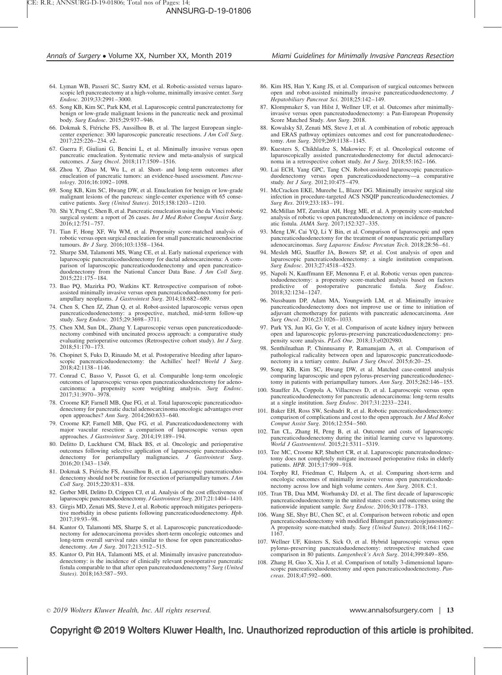- 64. Lyman WB, Passeri SC, Sastry KM, et al. Robotic-assisted versus laparoscopic left pancreatectomy at a high-volume, minimally invasive center. Surg Endosc. 2019;33:2991–3000.
- 65. Song KB, Kim SC, Park KM, et al. Laparoscopic central pancreatectomy for benign or low-grade malignant lesions in the pancreatic neck and proximal body. Surg Endosc. 2015;29:937–946.
- 66. Dokmak S, Ftériche FS, Aussilhou B, et al. The largest European singlecenter experience: 300 laparoscopic pancreatic resections. J Am Coll Surg. 2017;225:226–234. e2.
- 67. Guerra F, Giuliani G, Bencini L, et al. Minimally invasive versus open pancreatic enucleation. Systematic review and meta-analysis of surgical outcomes. J Surg Oncol. 2018;117:1509–1516.
- 68. Zhou Y, Zhao M, Wu L, et al. Short- and long-term outcomes after enucleation of pancreatic tumors: an evidence-based assessment. Pancreatology. 2016;16:1092–1098.
- 69. Song KB, Kim SC, Hwang DW, et al. Enucleation for benign or low-grade malignant lesions of the pancreas: single-center experience with 65 consecutive patients. Surg (United States). 2015;158:1203–1210.
- 70. Shi Y, Peng C, Shen B, et al. Pancreatic enucleation using the da Vinci robotic surgical system: a report of 26 cases. Int J Med Robot Comput Assist Surg. 2016;12:751–757.
- 71. Tian F, Hong XF, Wu WM, et al. Propensity score-matched analysis of robotic versus open surgical enucleation for small pancreatic neuroendocrine tumours. Br J Surg. 2016;103:1358–1364.
- 72. Sharpe SM, Talamonti MS, Wang CE, et al. Early national experience with laparoscopic pancreaticoduodenectomy for ductal adenocarcinoma: A comparison of laparoscopic pancreaticoduodenectomy and open pancreaticoduodenectomy from the National Cancer Data Base.  $\overline{J}$  Am Coll Surg. 2015;221:175–184.
- 73. Bao PQ, Mazirka PO, Watkins KT. Retrospective comparison of robotassisted minimally invasive versus open pancreaticoduodenectomy for periampullary neoplasms. J Gastrointest Surg. 2014;18:682-689.
- 74. Chen S, Chen JZ, Zhan Q, et al. Robot-assisted laparoscopic versus open pancreaticoduodenectomy: a prospective, matched, mid-term follow-up study. *Surg Endosc.* 2015;29:3698–3711.
- 75. Chen XM, Sun DL, Zhang Y. Laparoscopic versus open pancreaticoduodenectomy combined with uncinated process approach: a comparative study evaluating perioperative outcomes (Retrospective cohort study). Int J Surg. 2018;51:170–173.
- 76. Chopinet S, Fuks D, Rinaudo M, et al. Postoperative bleeding after laparoscopic pancreaticoduodenectomy: the Achilles' heel? World J Surg. 2018;42:1138–1146.
- 77. Conrad C, Basso V, Passot G, et al. Comparable long-term oncologic outcomes of laparoscopic versus open pancreaticoduodenectomy for adenocarcinoma: a propensity score weighting analysis. Surg Endosc. 2017;31:3970–3978.
- 78. Croome KP, Farnell MB, Que FG, et al. Total laparoscopic pancreaticoduodenectomy for pancreatic ductal adenocarcinoma oncologic advantages over open approaches? Ann Surg. 2014;260:633–640.
- 79. Croome KP, Farnell MB, Que FG, et al. Pancreaticoduodenectomy with major vascular resection: a comparison of laparoscopic versus open approaches. J Gastrointest Surg. 2014;19:189–194.
- 80. Delitto D, Luckhurst CM, Black BS, et al. Oncologic and perioperative outcomes following selective application of laparoscopic pancreaticoduodenectomy for periampullary malignancies. J Gastrointest Surg. 2016;20:1343–1349.
- 81. Dokmak S, Ftériche FS, Aussilhou B, et al. Laparoscopic pancreaticoduodenectomy should not be routine for resection of periampullary tumors. JAm Coll Surg. 2015;220:831–838.
- Gerber MH, Delitto D, Crippen CJ, et al. Analysis of the cost effectiveness of laparoscopic pancreatoduodenectomy. J Gastrointest Surg. 2017;21:1404–1410.
- 83. Girgis MD, Zenati MS, Steve J, et al. Robotic approach mitigates perioperative morbidity in obese patients following pancreaticoduodenectomy. Hpb. 2017;19:93–98.
- 84. Kantor O, Talamonti MS, Sharpe S, et al. Laparoscopic pancreaticoduodenectomy for adenocarcinoma provides short-term oncologic outcomes and long-term overall survival rates similar to those for open pancreaticoduodenectomy. Am J Surg. 2017;213:512–515.
- 85. Kantor O, Pitt HA, Talamonti MS, et al. Minimally invasive pancreatoduodenectomy: is the incidence of clinically relevant postoperative pancreatic fistula comparable to that after open pancreatoduodenectomy? Surg (United States). 2018;163:587–593.
- 86. Kim HS, Han Y, Kang JS, et al. Comparison of surgical outcomes between open and robot-assisted minimally invasive pancreaticoduodenectomy. J Hepatobiliary Pancreat Sci. 2018;25:142–149.
- 87. Klompmaker S, van Hilst J, Wellner UF, et al. Outcomes after minimallyinvasive versus open pancreatoduodenectomy: a Pan-European Propensity Score Matched Study. Ann Surg. 2018.
- 88. Kowalsky SJ, Zenati MS, Steve J, et al. A combination of robotic approach and ERAS pathway optimizes outcomes and cost for pancreatoduodenectomy. Ann Surg. 2019;269:1138–1145.
- 89. Kuesters S, Chikhladze S, Makowiec F, et al. Oncological outcome of laparoscopically assisted pancreatoduodenectomy for ductal adenocarcinoma in a retrospective cohort study. Int J Surg. 2018;55:162–166.
- 90. Lai ECH, Yang GPC, Tang CN. Robot-assisted laparoscopic pancreaticoduodenectomy versus open pancreaticoduodenectomy—a comparative study. *Int J Surg.* 2012;10:475–479.
- 91. McCracken EKE, Mureebe L, Blazer DG. Minimally invasive surgical site infection in procedure-targeted ACS NSQIP pancreaticoduodenectomies. J Surg Res. 2019;233:183–191.
- 92. McMillan MT, Zureikat AH, Hogg ME, et al. A propensity score-matched analysis of robotic vs open pancreatoduodenectomy on incidence of pancreatic fistula. JAMA Surg. 2017;152:327–335.
- 93. Meng LW, Cai YQ, Li Y Bin, et al. Comparison of laparoscopic and open pancreaticoduodenectomy for the treatment of nonpancreatic periampullary adenocarcinomas. Surg Laparosc Endosc Percutan Tech. 2018;28:56–61.
- 94. Mesleh MG, Stauffer JA, Bowers SP, et al. Cost analysis of open and laparoscopic pancreaticoduodenectomy: a single institution comparison. Surg Endosc. 2013;27:4518–4523.
- 95. Napoli N, Kauffmann EF, Menonna F, et al. Robotic versus open pancreatoduodenectomy: a propensity score-matched analysis based on factors predictive of postoperative pancreatic fistula. Surg Endosc. 2018;32:1234–1247.
- 96. Nussbaum DP, Adam MA, Youngwirth LM, et al. Minimally invasive pancreaticoduodenectomy does not improve use or time to initiation of adjuvant chemotherapy for patients with pancreatic adenocarcinoma. Ann Surg Oncol. 2016;23:1026–1033.
- 97. Park YS, Jun IG, Go Y, et al. Comparison of acute kidney injury between open and laparoscopic pylorus-preserving pancreaticoduodenectomy: pro-pensity score analysis. PLoS One. 2018;13:e0202980.
- 98. Senthilnathan P, Chinnusamy P, Ramanujam A, et al. Comparison of pathological radicality between open and laparoscopic pancreaticoduodenectomy in a tertiary centre. Indian J Surg Oncol. 2015;6:20–25.
- 99. Song KB, Kim SC, Hwang DW, et al. Matched case-control analysis comparing laparoscopic and open pylorus-preserving pancreaticoduodenectomy in patients with periampullary tumors. Ann Surg. 2015;262:146–155.
- 100. Stauffer JA, Coppola A, Villacreses D, et al. Laparoscopic versus open pancreaticoduodenectomy for pancreatic adenocarcinoma: long-term results at a single institution. Surg Endosc. 2017;31:2233–2241.
- 101. Baker EH, Ross SW, Seshadri R, et al. Robotic pancreaticoduodenectomy: comparison of complications and cost to the open approach. Int J Med Robot Comput Assist Surg. 2016;12:554–560.
- 102. Tan CL, Zhang H, Peng B, et al. Outcome and costs of laparoscopic pancreaticoduodenectomy during the initial learning curve vs laparotomy. World J Gastroenterol. 2015;21:5311–5319.
- 103. Tee MC, Croome KP, Shubert CR, et al. Laparoscopic pancreatoduodenectomy does not completely mitigate increased perioperative risks in elderly patients. HPB. 2015;17:909–918.
- 104. Torphy RJ, Friedman C, Halpern A, et al. Comparing short-term and oncologic outcomes of minimally invasive versus open pancreaticoduodenectomy across low and high volume centers. Ann Surg. 2018. C:1.
- 105. Tran TB, Dua MM, Worhunsky DJ, et al. The first decade of laparoscopic pancreaticoduodenectomy in the united states: costs and outcomes using the nationwide inpatient sample. Surg Endosc. 2016;30:1778–1783.
- 106. Wang SE, Shyr BU, Chen SC, et al. Comparison between robotic and open pancreaticoduodenectomy with modified Blumgart pancreaticojejunostomy: A propensity score-matched study. Surg (United States). 2018;164:1162– 1167.
- 107. Wellner UF, Küsters S, Sick O, et al. Hybrid laparoscopic versus open pylorus-preserving pancreatoduodenectomy: retrospective matched case comparison in 80 patients. Langenbeck's Arch Surg. 2014;399:849–856.
- 108. Zhang H, Guo X, Xia J, et al. Comparison of totally 3-dimensional laparoscopic pancreaticoduodenectomy and open pancreaticoduodenectomy. Pancreas. 2018;47:592–600.

2019 Wolters Kluwer Health, Inc. All rights reserved. www.annalsofsurgery.com | 13